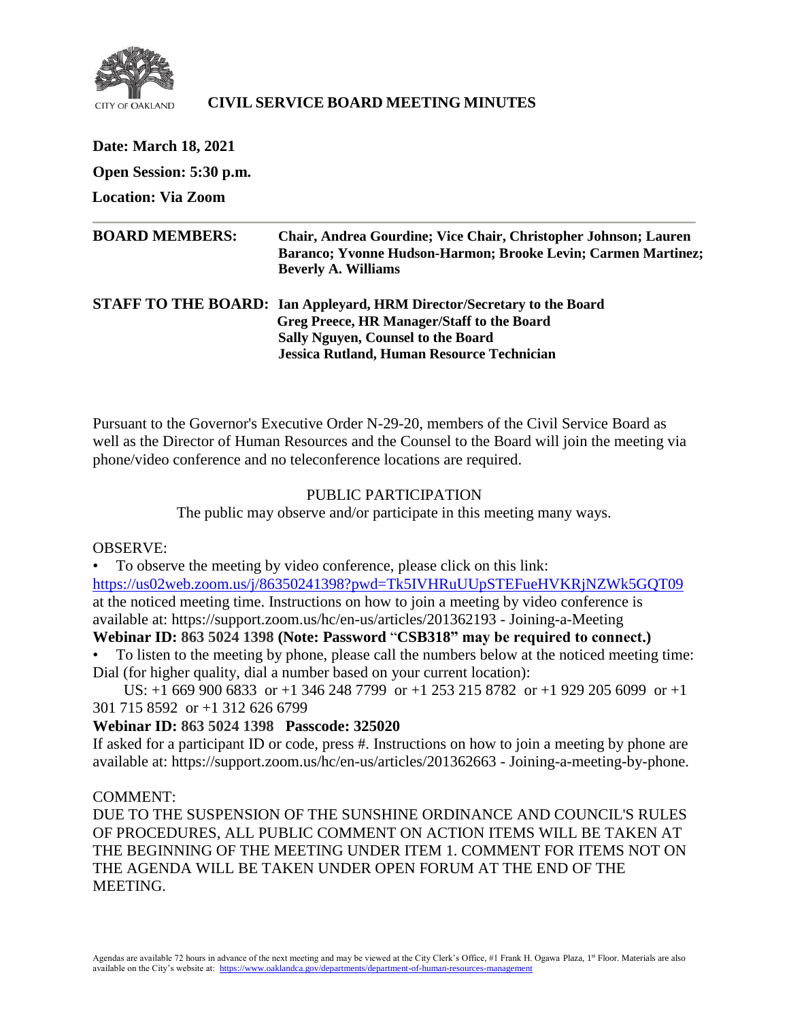

# **CIVIL SERVICE BOARD MEETING MINUTES**

| Date: March 18, 2021      |                                                                                                                                                                                                          |
|---------------------------|----------------------------------------------------------------------------------------------------------------------------------------------------------------------------------------------------------|
| Open Session: 5:30 p.m.   |                                                                                                                                                                                                          |
| <b>Location: Via Zoom</b> |                                                                                                                                                                                                          |
| <b>BOARD MEMBERS:</b>     | Chair, Andrea Gourdine; Vice Chair, Christopher Johnson; Lauren<br>Baranco; Yvonne Hudson-Harmon; Brooke Levin; Carmen Martinez;<br><b>Beverly A. Williams</b>                                           |
|                           | STAFF TO THE BOARD: Ian Appleyard, HRM Director/Secretary to the Board<br>Greg Preece, HR Manager/Staff to the Board<br>Sally Nguyen, Counsel to the Board<br>Jessica Rutland, Human Resource Technician |

Pursuant to the Governor's Executive Order N-29-20, members of the Civil Service Board as well as the Director of Human Resources and the Counsel to the Board will join the meeting via phone/video conference and no teleconference locations are required.

#### PUBLIC PARTICIPATION

The public may observe and/or participate in this meeting many ways.

### OBSERVE:

• To observe the meeting by video conference, please click on this link: <https://us02web.zoom.us/j/86350241398?pwd=Tk5IVHRuUUpSTEFueHVKRjNZWk5GQT09> at the noticed meeting time. Instructions on how to join a meeting by video conference is available at: https://support.zoom.us/hc/en-us/articles/201362193 - Joining-a-Meeting

# **Webinar ID: 863 5024 1398 (Note: Password** "**CSB318" may be required to connect.)**

• To listen to the meeting by phone, please call the numbers below at the noticed meeting time: Dial (for higher quality, dial a number based on your current location):

 US: +1 669 900 6833 or +1 346 248 7799 or +1 253 215 8782 or +1 929 205 6099 or +1 301 715 8592 or +1 312 626 6799

### **Webinar ID: 863 5024 1398 Passcode: 325020**

If asked for a participant ID or code, press #. Instructions on how to join a meeting by phone are available at: https://support.zoom.us/hc/en-us/articles/201362663 - Joining-a-meeting-by-phone.

#### COMMENT:

DUE TO THE SUSPENSION OF THE SUNSHINE ORDINANCE AND COUNCIL'S RULES OF PROCEDURES, ALL PUBLIC COMMENT ON ACTION ITEMS WILL BE TAKEN AT THE BEGINNING OF THE MEETING UNDER ITEM 1. COMMENT FOR ITEMS NOT ON THE AGENDA WILL BE TAKEN UNDER OPEN FORUM AT THE END OF THE MEETING.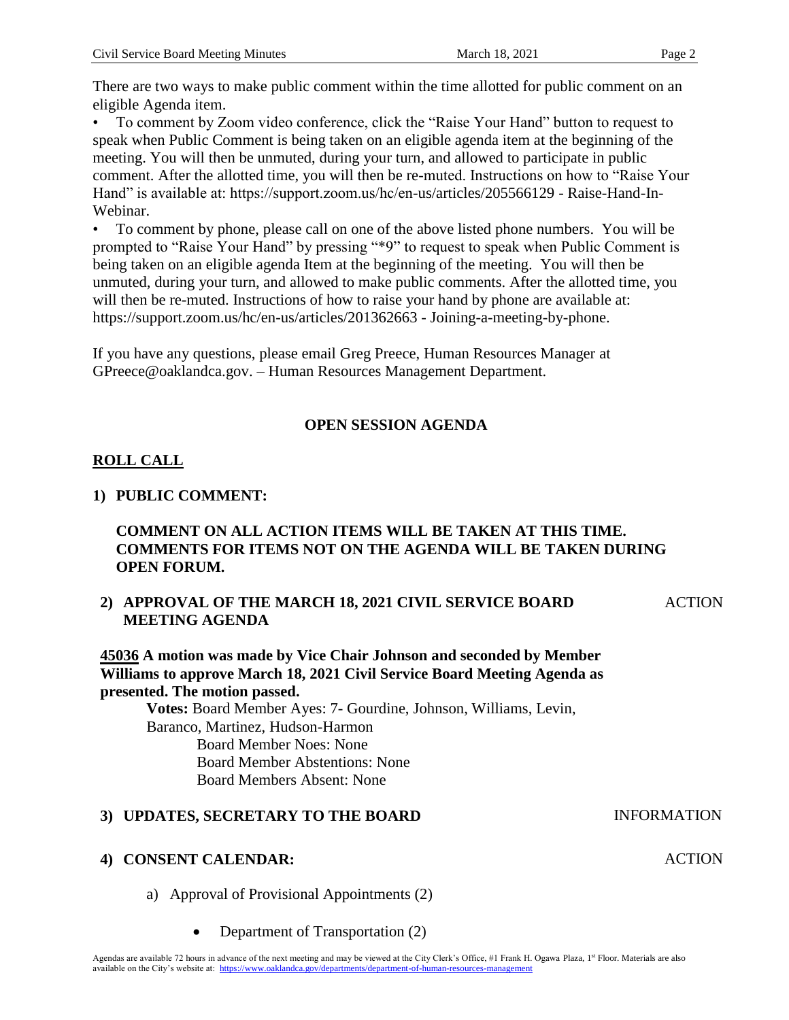There are two ways to make public comment within the time allotted for public comment on an eligible Agenda item.

• To comment by Zoom video conference, click the "Raise Your Hand" button to request to speak when Public Comment is being taken on an eligible agenda item at the beginning of the meeting. You will then be unmuted, during your turn, and allowed to participate in public comment. After the allotted time, you will then be re-muted. Instructions on how to "Raise Your Hand" is available at: https://support.zoom.us/hc/en-us/articles/205566129 - Raise-Hand-In-Webinar.

• To comment by phone, please call on one of the above listed phone numbers. You will be prompted to "Raise Your Hand" by pressing "\*9" to request to speak when Public Comment is being taken on an eligible agenda Item at the beginning of the meeting. You will then be unmuted, during your turn, and allowed to make public comments. After the allotted time, you will then be re-muted. Instructions of how to raise your hand by phone are available at: https://support.zoom.us/hc/en-us/articles/201362663 - Joining-a-meeting-by-phone.

If you have any questions, please email Greg Preece, Human Resources Manager at GPreece@oaklandca.gov. – Human Resources Management Department.

# **OPEN SESSION AGENDA**

# **ROLL CALL**

# **1) PUBLIC COMMENT:**

# **COMMENT ON ALL ACTION ITEMS WILL BE TAKEN AT THIS TIME. COMMENTS FOR ITEMS NOT ON THE AGENDA WILL BE TAKEN DURING OPEN FORUM.**

#### **2) APPROVAL OF THE MARCH 18, 2021 CIVIL SERVICE BOARD MEETING AGENDA** ACTION

**45036 A motion was made by Vice Chair Johnson and seconded by Member Williams to approve March 18, 2021 Civil Service Board Meeting Agenda as presented. The motion passed.**

**Votes:** Board Member Ayes: 7- Gourdine, Johnson, Williams, Levin, Baranco, Martinez, Hudson-Harmon Board Member Noes: None Board Member Abstentions: None Board Members Absent: None

### **3) UPDATES, SECRETARY TO THE BOARD INFORMATION**

### **4) CONSENT CALENDAR:**

- a) Approval of Provisional Appointments (2)
	- Department of Transportation (2)

#### ACTION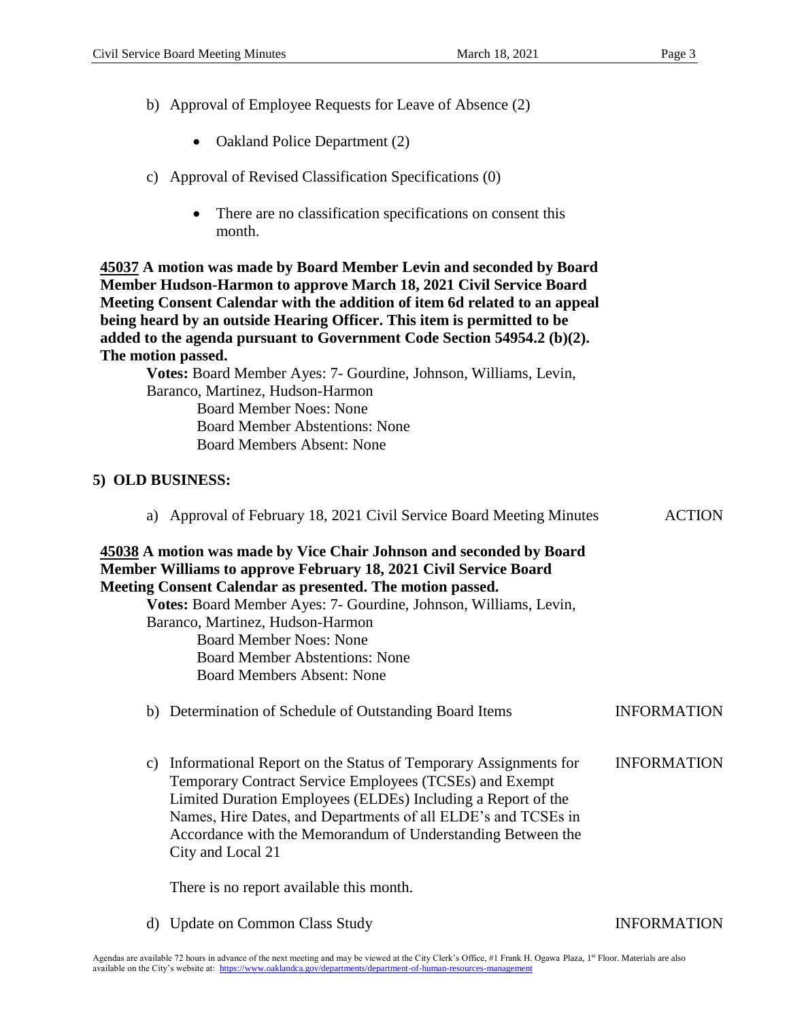- b) Approval of Employee Requests for Leave of Absence (2)
	- Oakland Police Department (2)
- c) Approval of Revised Classification Specifications (0)
	- There are no classification specifications on consent this month.

**45037 A motion was made by Board Member Levin and seconded by Board Member Hudson-Harmon to approve March 18, 2021 Civil Service Board Meeting Consent Calendar with the addition of item 6d related to an appeal being heard by an outside Hearing Officer. This item is permitted to be added to the agenda pursuant to Government Code Section 54954.2 (b)(2). The motion passed.**

**Votes:** Board Member Ayes: 7- Gourdine, Johnson, Williams, Levin, Baranco, Martinez, Hudson-Harmon Board Member Noes: None Board Member Abstentions: None Board Members Absent: None

### **5) OLD BUSINESS:**

| $\mu$ as approval of February To, 2021 Cryli Dervice Doard Meeting Miniques                                                                                                                                                                                                                                                                           | 11011              |
|-------------------------------------------------------------------------------------------------------------------------------------------------------------------------------------------------------------------------------------------------------------------------------------------------------------------------------------------------------|--------------------|
| 45038 A motion was made by Vice Chair Johnson and seconded by Board<br>Member Williams to approve February 18, 2021 Civil Service Board                                                                                                                                                                                                               |                    |
| Meeting Consent Calendar as presented. The motion passed.                                                                                                                                                                                                                                                                                             |                    |
| Votes: Board Member Ayes: 7- Gourdine, Johnson, Williams, Levin,                                                                                                                                                                                                                                                                                      |                    |
| Baranco, Martinez, Hudson-Harmon                                                                                                                                                                                                                                                                                                                      |                    |
| <b>Board Member Noes: None</b>                                                                                                                                                                                                                                                                                                                        |                    |
| <b>Board Member Abstentions: None</b>                                                                                                                                                                                                                                                                                                                 |                    |
| <b>Board Members Absent: None</b>                                                                                                                                                                                                                                                                                                                     |                    |
| b) Determination of Schedule of Outstanding Board Items                                                                                                                                                                                                                                                                                               | <b>INFORMATION</b> |
| Informational Report on the Status of Temporary Assignments for<br>C)<br>Temporary Contract Service Employees (TCSEs) and Exempt<br>Limited Duration Employees (ELDEs) Including a Report of the<br>Names, Hire Dates, and Departments of all ELDE's and TCSEs in<br>Accordance with the Memorandum of Understanding Between the<br>City and Local 21 | <b>INFORMATION</b> |
| There is no report available this month.                                                                                                                                                                                                                                                                                                              |                    |

a) Approval of February 18, 2021 Civil Service Board Meeting Minutes ACTION

d) Update on Common Class Study INFORMATION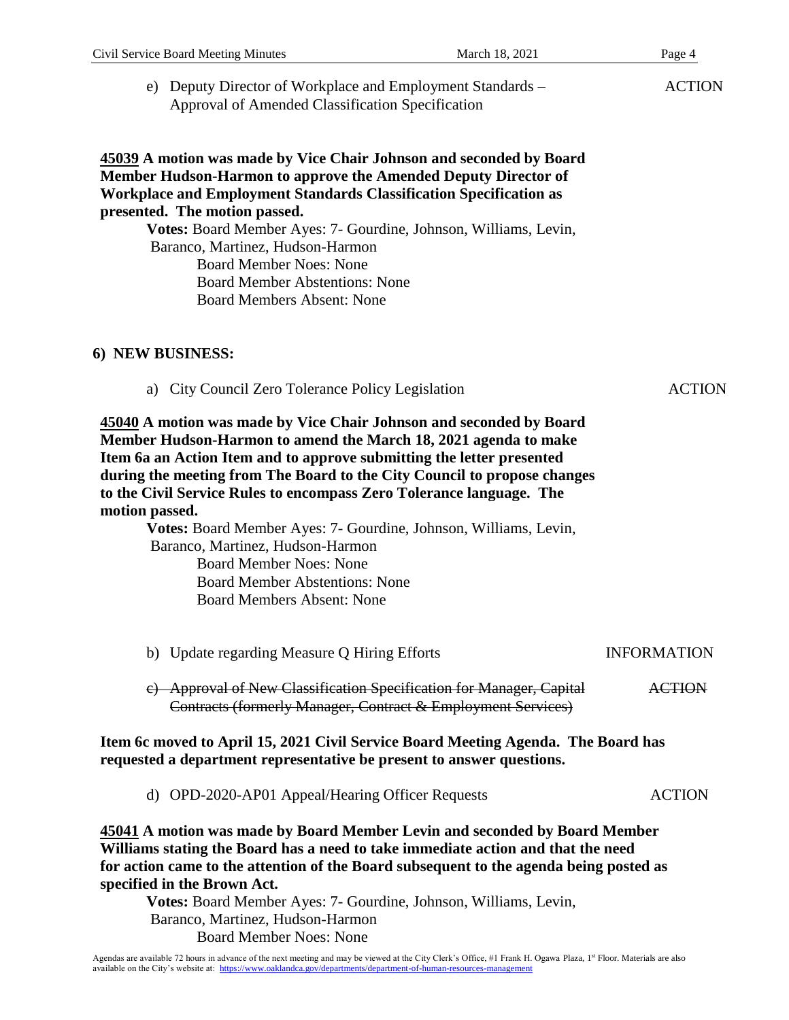|                  | Civil Service Board Meeting Minutes                                                                                                                                               | March 18, 2021                                                                                                                                                                                                                                                                                                                                                      | Page 4             |
|------------------|-----------------------------------------------------------------------------------------------------------------------------------------------------------------------------------|---------------------------------------------------------------------------------------------------------------------------------------------------------------------------------------------------------------------------------------------------------------------------------------------------------------------------------------------------------------------|--------------------|
|                  | e) Deputy Director of Workplace and Employment Standards –<br>Approval of Amended Classification Specification                                                                    |                                                                                                                                                                                                                                                                                                                                                                     | <b>ACTION</b>      |
|                  | presented. The motion passed.<br>Baranco, Martinez, Hudson-Harmon<br><b>Board Member Noes: None</b><br><b>Board Member Abstentions: None</b><br><b>Board Members Absent: None</b> | 45039 A motion was made by Vice Chair Johnson and seconded by Board<br>Member Hudson-Harmon to approve the Amended Deputy Director of<br><b>Workplace and Employment Standards Classification Specification as</b><br>Votes: Board Member Ayes: 7- Gourdine, Johnson, Williams, Levin,                                                                              |                    |
| 6) NEW BUSINESS: |                                                                                                                                                                                   |                                                                                                                                                                                                                                                                                                                                                                     |                    |
|                  | a) City Council Zero Tolerance Policy Legislation                                                                                                                                 |                                                                                                                                                                                                                                                                                                                                                                     | <b>ACTION</b>      |
| motion passed.   |                                                                                                                                                                                   | 45040 A motion was made by Vice Chair Johnson and seconded by Board<br>Member Hudson-Harmon to amend the March 18, 2021 agenda to make<br>Item 6a an Action Item and to approve submitting the letter presented<br>during the meeting from The Board to the City Council to propose changes<br>to the Civil Service Rules to encompass Zero Tolerance language. The |                    |
|                  | Baranco, Martinez, Hudson-Harmon<br><b>Board Member Noes: None</b><br><b>Board Member Abstentions: None</b><br><b>Board Members Absent: None</b>                                  | Votes: Board Member Ayes: 7- Gourdine, Johnson, Williams, Levin,                                                                                                                                                                                                                                                                                                    |                    |
|                  | b) Update regarding Measure Q Hiring Efforts                                                                                                                                      |                                                                                                                                                                                                                                                                                                                                                                     | <b>INFORMATION</b> |
|                  |                                                                                                                                                                                   | c) Approval of New Classification Specification for Manager, Capital<br>Contracts (formerly Manager, Contract & Employment Services)                                                                                                                                                                                                                                | <b>ACTION</b>      |
|                  |                                                                                                                                                                                   | Item 6c moved to April 15, 2021 Civil Service Board Meeting Agenda. The Board has<br>requested a department representative be present to answer questions.                                                                                                                                                                                                          |                    |
|                  | d) OPD-2020-AP01 Appeal/Hearing Officer Requests                                                                                                                                  |                                                                                                                                                                                                                                                                                                                                                                     | <b>ACTION</b>      |
|                  |                                                                                                                                                                                   | 45041 A motion was made by Board Member Levin and seconded by Board Member<br>Williams stating the Deard has a need to take immediate action and that the need                                                                                                                                                                                                      |                    |

**Williams stating the Board has a need to take immediate action and that the need for action came to the attention of the Board subsequent to the agenda being posted as specified in the Brown Act.**

**Votes:** Board Member Ayes: 7- Gourdine, Johnson, Williams, Levin, Baranco, Martinez, Hudson-Harmon Board Member Noes: None